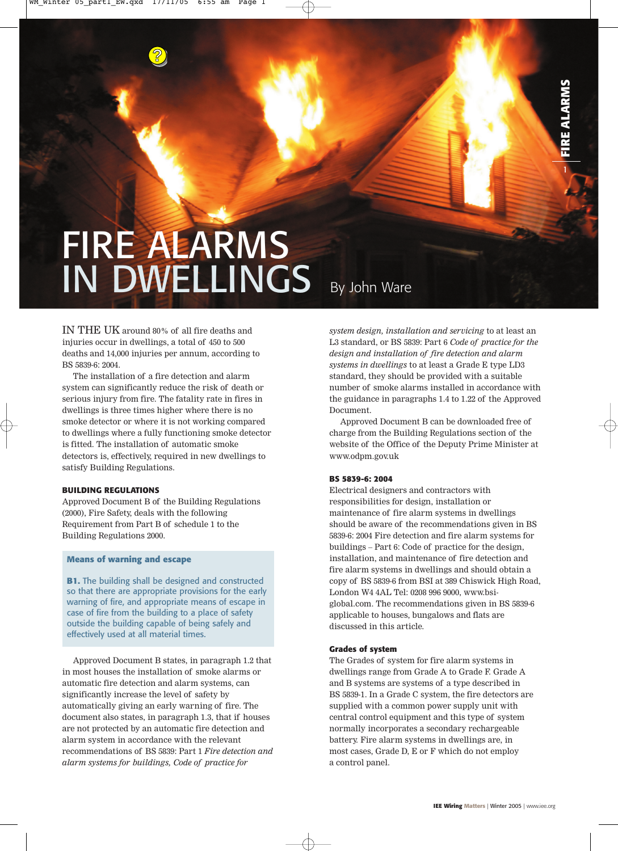# **FIRE ALARMS** IN DWELLINGS By John Ware

IN THE UK around 80% of all fire deaths and injuries occur in dwellings, a total of 450 to 500 deaths and 14,000 injuries per annum, according to BS 5839-6: 2004.

**?**

The installation of a fire detection and alarm system can significantly reduce the risk of death or serious injury from fire. The fatality rate in fires in dwellings is three times higher where there is no smoke detector or where it is not working compared to dwellings where a fully functioning smoke detector is fitted. The installation of automatic smoke detectors is, effectively, required in new dwellings to satisfy Building Regulations.

#### **BUILDING REGULATIONS**

Approved Document B of the Building Regulations (2000), Fire Safety, deals with the following Requirement from Part B of schedule 1 to the Building Regulations 2000.

#### **Means of warning and escape**

**B1.** The building shall be designed and constructed so that there are appropriate provisions for the early warning of fire, and appropriate means of escape in case of fire from the building to a place of safety outside the building capable of being safely and effectively used at all material times.

Approved Document B states, in paragraph 1.2 that in most houses the installation of smoke alarms or automatic fire detection and alarm systems, can significantly increase the level of safety by automatically giving an early warning of fire. The document also states, in paragraph 1.3, that if houses are not protected by an automatic fire detection and alarm system in accordance with the relevant recommendations of BS 5839: Part 1 *Fire detection and alarm systems for buildings, Code of practice for*

*system design, installation and servicing* to at least an L3 standard, or BS 5839: Part 6 *Code of practice for the design and installation of fire detection and alarm systems in dwellings* to at least a Grade E type LD3 standard, they should be provided with a suitable number of smoke alarms installed in accordance with the guidance in paragraphs 1.4 to 1.22 of the Approved Document.

Approved Document B can be downloaded free of charge from the Building Regulations section of the website of the Office of the Deputy Prime Minister at www.odpm.gov.uk

#### **BS 5839-6: 2004**

Electrical designers and contractors with responsibilities for design, installation or maintenance of fire alarm systems in dwellings should be aware of the recommendations given in BS 5839-6: 2004 Fire detection and fire alarm systems for buildings – Part 6: Code of practice for the design, installation, and maintenance of fire detection and fire alarm systems in dwellings and should obtain a copy of BS 5839-6 from BSI at 389 Chiswick High Road, London W4 4AL Tel: 0208 996 9000, www.bsiglobal.com. The recommendations given in BS 5839-6 applicable to houses, bungalows and flats are discussed in this article.

#### **Grades of system**

The Grades of system for fire alarm systems in dwellings range from Grade A to Grade F. Grade A and B systems are systems of a type described in BS 5839-1. In a Grade C system, the fire detectors are supplied with a common power supply unit with central control equipment and this type of system normally incorporates a secondary rechargeable battery. Fire alarm systems in dwellings are, in most cases, Grade D, E or F which do not employ a control panel.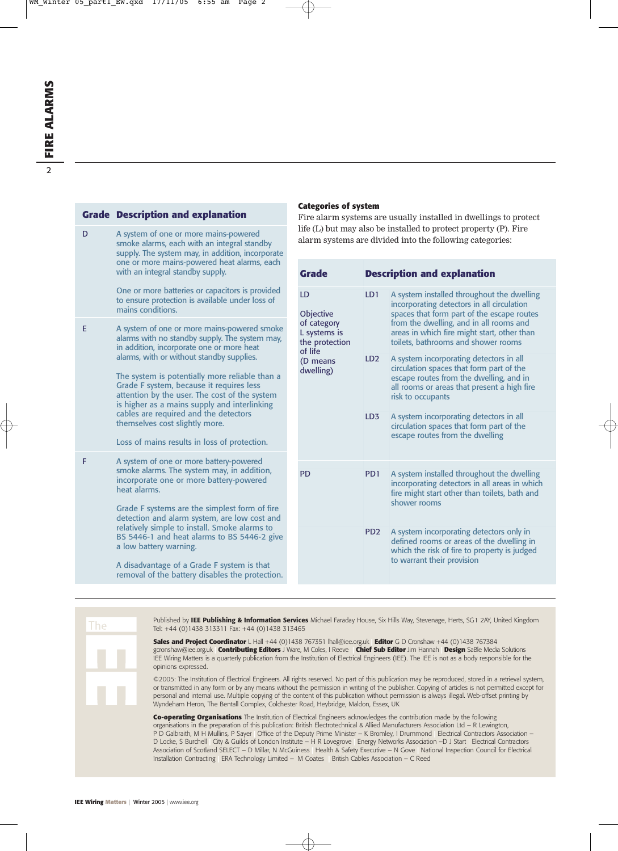|    | <b>Grade Description and explanation</b>                                                                                                                                                                                                                                                                                         | Fire alarm systems are usually installed in dwellings to protect<br>life (L) but may also be installed to protect property (P). Fire<br>alarm systems are divided into the following categories: |                                                          |                 |                                                                                                                                                                                                    |  |  |
|----|----------------------------------------------------------------------------------------------------------------------------------------------------------------------------------------------------------------------------------------------------------------------------------------------------------------------------------|--------------------------------------------------------------------------------------------------------------------------------------------------------------------------------------------------|----------------------------------------------------------|-----------------|----------------------------------------------------------------------------------------------------------------------------------------------------------------------------------------------------|--|--|
| D  | A system of one or more mains-powered<br>smoke alarms, each with an integral standby<br>supply. The system may, in addition, incorporate<br>one or more mains-powered heat alarms, each<br>with an integral standby supply.                                                                                                      |                                                                                                                                                                                                  |                                                          |                 |                                                                                                                                                                                                    |  |  |
|    |                                                                                                                                                                                                                                                                                                                                  |                                                                                                                                                                                                  | <b>Grade</b>                                             |                 | <b>Description and explanation</b>                                                                                                                                                                 |  |  |
|    | One or more batteries or capacitors is provided<br>to ensure protection is available under loss of<br>mains conditions.                                                                                                                                                                                                          |                                                                                                                                                                                                  | LD<br>Objective                                          | LD1             | A system installed throughout the dwelling<br>incorporating detectors in all circulation<br>spaces that form part of the escape routes                                                             |  |  |
| E. | A system of one or more mains-powered smoke<br>alarms with no standby supply. The system may,<br>in addition, incorporate one or more heat                                                                                                                                                                                       |                                                                                                                                                                                                  | of category<br>L systems is<br>the protection<br>of life |                 | from the dwelling, and in all rooms and<br>areas in which fire might start, other than<br>toilets, bathrooms and shower rooms                                                                      |  |  |
|    | alarms, with or without standby supplies.<br>The system is potentially more reliable than a<br>Grade F system, because it requires less<br>attention by the user. The cost of the system<br>is higher as a mains supply and interlinking                                                                                         |                                                                                                                                                                                                  | (D means<br>dwelling)                                    | LD <sub>2</sub> | A system incorporating detectors in all<br>circulation spaces that form part of the<br>escape routes from the dwelling, and in<br>all rooms or areas that present a high fire<br>risk to occupants |  |  |
|    | cables are required and the detectors<br>themselves cost slightly more.<br>Loss of mains results in loss of protection.                                                                                                                                                                                                          |                                                                                                                                                                                                  |                                                          | LD <sub>3</sub> | A system incorporating detectors in all<br>circulation spaces that form part of the<br>escape routes from the dwelling                                                                             |  |  |
| F  | A system of one or more battery-powered                                                                                                                                                                                                                                                                                          |                                                                                                                                                                                                  |                                                          |                 |                                                                                                                                                                                                    |  |  |
|    | smoke alarms. The system may, in addition,<br>incorporate one or more battery-powered<br>heat alarms.<br>Grade F systems are the simplest form of fire<br>detection and alarm system, are low cost and<br>relatively simple to install. Smoke alarms to<br>BS 5446-1 and heat alarms to BS 5446-2 give<br>a low battery warning. |                                                                                                                                                                                                  | <b>PD</b>                                                | PD <sub>1</sub> | A system installed throughout the dwelling<br>incorporating detectors in all areas in which<br>fire might start other than toilets, bath and<br>shower rooms                                       |  |  |
|    |                                                                                                                                                                                                                                                                                                                                  |                                                                                                                                                                                                  |                                                          |                 |                                                                                                                                                                                                    |  |  |
|    |                                                                                                                                                                                                                                                                                                                                  |                                                                                                                                                                                                  |                                                          | PD <sub>2</sub> | A system incorporating detectors only in<br>defined rooms or areas of the dwelling in<br>which the risk of fire to property is judged<br>to warrant their provision                                |  |  |
|    | A disadvantage of a Grade F system is that<br>removal of the battery disables the protection.                                                                                                                                                                                                                                    |                                                                                                                                                                                                  |                                                          |                 |                                                                                                                                                                                                    |  |  |

The

Published by **IEE Publishing & Information Services** Michael Faraday House, Six Hills Way, Stevenage, Herts, SG1 2AY, United Kingdom Tel: +44 (0)1438 313311 Fax: +44 (0)1438 313465

**Categories of system**

**Sales and Project Coordinator** L Hall +44 (0)1438 767351 lhall@iee.org.uk **| Editor** G D Cronshaw +44 (0)1438 767384 gcronshaw@iee.org.uk **| Contributing Editors** J Ware, M Coles, I Reeve **| Chief Sub Editor** Jim Hannah **| Design** SaBle Media Solutions IEE Wiring Matters is a quarterly publication from the Institution of Electrical Engineers (IEE). The IEE is not as a body responsible for the opinions expressed.

©2005: The Institution of Electrical Engineers. All rights reserved. No part of this publication may be reproduced, stored in a retrieval system, or transmitted in any form or by any means without the permission in writing of the publisher. Copying of articles is not permitted except for personal and internal use. Multiple copying of the content of this publication without permission is always illegal. Web-offset printing by Wyndeham Heron, The Bentall Complex, Colchester Road, Heybridge, Maldon, Essex, UK

**Co-operating Organisations** The Institution of Electrical Engineers acknowledges the contribution made by the following organisations in the preparation of this publication: British Electrotechnical & Allied Manufacturers Association Ltd – R Lewington, P D Galbraith, M H Mullins, P Sayer **|** Office of the Deputy Prime Minister – K Bromley, I Drummond **|** Electrical Contractors Association – D Locke, S Burchell **|** City & Guilds of London Institute – H R Lovegrove **|** Energy Networks Association –D J Start | Electrical Contractors Association of Scotland SELECT – D Millar, N McGuiness **|** Health & Safety Executive – N Gove **|** National Inspection Council for Electrical Installation Contracting **|** ERA Technology Limited – M Coates **|** British Cables Association – C Reed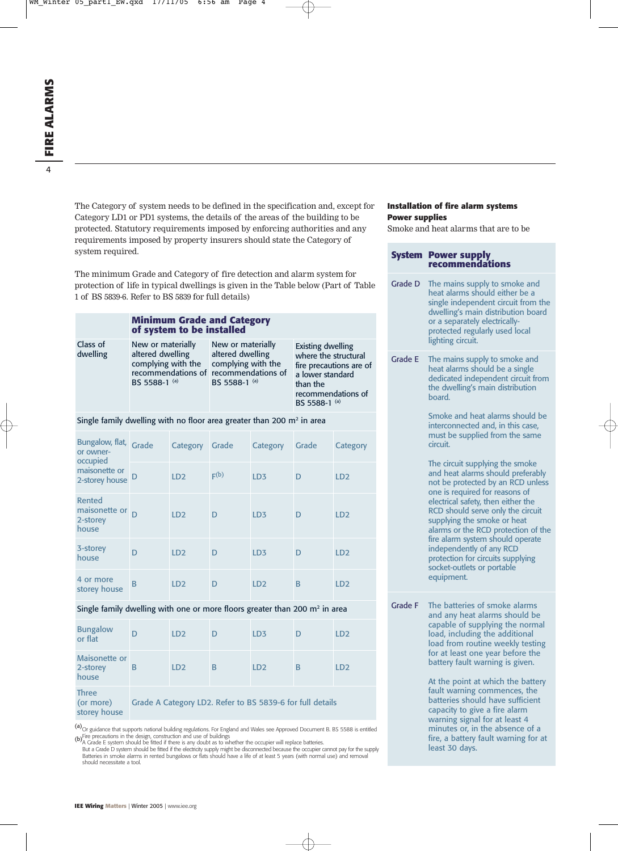The Category of system needs to be defined in the specification and, except for Category LD1 or PD1 systems, the details of the areas of the building to be protected. Statutory requirements imposed by enforcing authorities and any requirements imposed by property insurers should state the Category of system required.

The minimum Grade and Category of fire detection and alarm system for protection of life in typical dwellings is given in the Table below (Part of Table 1 of BS 5839-6. Refer to BS 5839 for full details)

#### **Minimum Grade and Category of system to be installed**

Class of dwelling

New or materially altered dwelling complying with the recommendations of recommendations of New or materially altered dwelling complying with the BS 5588-1 (a)

Existing dwelling where the structural fire precautions are of a lower standard than the recommendations of BS 5588-1 (a)

#### Single family dwelling with no floor area greater than 200  $m<sup>2</sup>$  in area

BS 5588-1 (a)

| Bungalow, flat, Grade<br>or owner-<br>occupied            |   | Category        | Grade | Category        | Grade | Category        |
|-----------------------------------------------------------|---|-----------------|-------|-----------------|-------|-----------------|
| maisonette or<br>2-storey house D                         |   | LD2             | F(b)  | LD <sub>3</sub> | D     | LD <sub>2</sub> |
| Rented<br>maisonette or <sub>D</sub><br>2-storey<br>house |   | LD <sub>2</sub> | D     | LD <sub>3</sub> | D     | LD <sub>2</sub> |
| 3-storey<br>house                                         | D | LD <sub>2</sub> | D     | LD <sub>3</sub> | D     | LD <sub>2</sub> |
| 4 or more<br>storey house                                 | B | LD <sub>2</sub> | D     | LD <sub>2</sub> | B     | LD <sub>2</sub> |

#### Single family dwelling with one or more floors greater than 200  $m<sup>2</sup>$  in area

| <b>Bungalow</b><br>or flat                |                                                           | LD <sub>2</sub> | D | LD <sub>3</sub> |   | LD <sub>2</sub> |  |  |
|-------------------------------------------|-----------------------------------------------------------|-----------------|---|-----------------|---|-----------------|--|--|
| Maisonette or<br>2-storey<br>house        | В                                                         | LD <sub>2</sub> | В | LD <sub>2</sub> | B | LD <sub>2</sub> |  |  |
| <b>Three</b><br>(or more)<br>storey house | Grade A Category LD2. Refer to BS 5839-6 for full details |                 |   |                 |   |                 |  |  |

(a)<sub>Or guidance that supports national building regulations. For England and Wales see Approved Document B. BS 5588 is entitled</sub>

(b) Fire precautions in the design, construction and use of buildings<br>Paracter the occupier will replace batteries.<br>But a Grade E system should be fitted if the electricity supply might be disconnected because the occupie should necessitate a tool.

#### **Installation of fire alarm systems Power supplies**

Smoke and heat alarms that are to be

## **System Power supply recommendations**

Grade D The mains supply to smoke and heat alarms should either be a single independent circuit from the dwelling's main distribution board or a separately electricallyprotected regularly used local lighting circuit. Grade E The mains supply to smoke and heat alarms should be a single dedicated independent circuit from the dwelling's main distribution board. Smoke and heat alarms should be interconnected and, in this case, must be supplied from the same circuit. The circuit supplying the smoke and heat alarms should preferably not be protected by an RCD unless one is required for reasons of electrical safety, then either the

RCD should serve only the circuit supplying the smoke or heat alarms or the RCD protection of the fire alarm system should operate independently of any RCD protection for circuits supplying socket-outlets or portable equipment.

Grade F The batteries of smoke alarms and any heat alarms should be capable of supplying the normal load, including the additional load from routine weekly testing for at least one year before the battery fault warning is given.

> At the point at which the battery fault warning commences, the batteries should have sufficient capacity to give a fire alarm warning signal for at least 4 minutes or, in the absence of a fire, a battery fault warning for at least 30 days.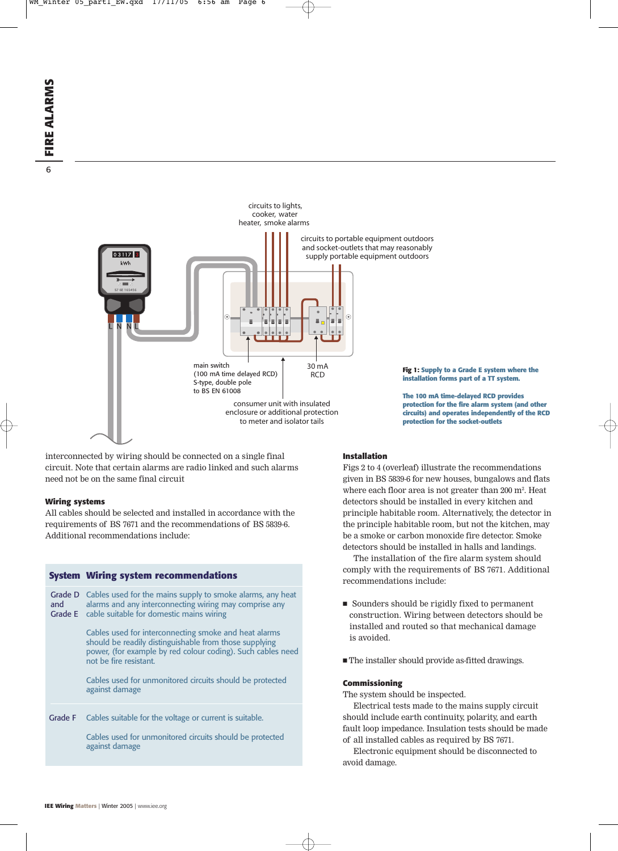

interconnected by wiring should be connected on a single final circuit. Note that certain alarms are radio linked and such alarms need not be on the same final circuit

#### **Wiring systems**

All cables should be selected and installed in accordance with the requirements of BS 7671 and the recommendations of BS 5839-6. Additional recommendations include:

#### **System Wiring system recommendations**

Grade D Cables used for the mains supply to smoke alarms, any heat alarms and any interconnecting wiring may comprise any Grade E cable suitable for domestic mains wiring Cables used for interconnecting smoke and heat alarms and

should be readily distinguishable from those supplying power, (for example by red colour coding). Such cables need not be fire resistant.

Cables used for unmonitored circuits should be protected against damage

Grade F Cables suitable for the voltage or current is suitable.

Cables used for unmonitored circuits should be protected against damage

### **Fig 1: Supply to a Grade E system where the**

**installation forms part of a TT system.**

**The 100 mA time-delayed RCD provides protection for the fire alarm system (and other circuits) and operates independently of the RCD protection for the socket-outlets**

#### **Installation**

Figs 2 to 4 (overleaf) illustrate the recommendations given in BS 5839-6 for new houses, bungalows and flats where each floor area is not greater than 200 m<sup>2</sup>. Heat detectors should be installed in every kitchen and principle habitable room. Alternatively, the detector in the principle habitable room, but not the kitchen, may be a smoke or carbon monoxide fire detector. Smoke detectors should be installed in halls and landings.

The installation of the fire alarm system should comply with the requirements of BS 7671. Additional recommendations include:

- Sounders should be rigidly fixed to permanent construction. Wiring between detectors should be installed and routed so that mechanical damage is avoided.
- The installer should provide as-fitted drawings.

#### **Commissioning**

The system should be inspected.

Electrical tests made to the mains supply circuit should include earth continuity, polarity, and earth fault loop impedance. Insulation tests should be made of all installed cables as required by BS 7671.

Electronic equipment should be disconnected to avoid damage.